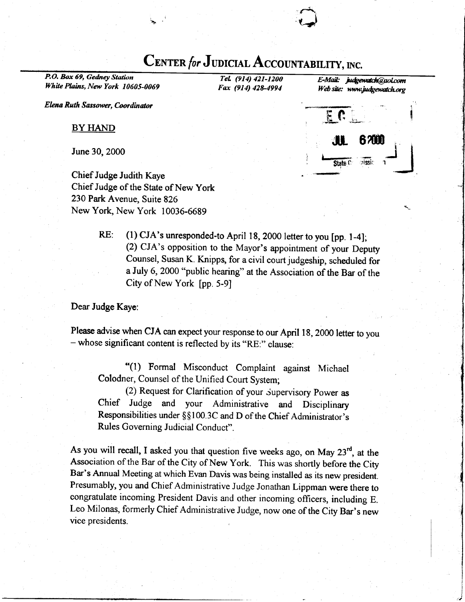# CENTER for JUDICIAL ACCOUNTABILITY, INC.

 $\sqrt{2}$ 

P.O. Box 69, Gedney Station White Plains, New York 10605-0069

 $Tel.$  (914) 421-1200  $E$ -Mail: judgewatch@aol.com<br>Fax (914) 428-4994 Web site; www.judgewatch.org Web site: www.judgewatch.org

Elcna Ruth Sassower, Coordinator

BY HAND

June 30,2000

Chief Judge Judith Kaye Chief Judge of the State of New york 230 Park Avenue, Suite 826 New York, New York 10036-6689



RE: (1) CJA's unresponded-to April 18, 2000 letter to you [pp. 1-4]; (2) cJA's opposition to the Mayor's appointment of your Deputy counsel, Susan K. Knipps, for a civil court judgeship, scheduled for a July 6, 2000 "public hearing" at the Association of the Bar of the City of New York [pp. 5-9]

Dear Judge Kaye:

Please advise when CJA can expect your response to our April 18, 2000 letter to you - whose significant content is reflected by its "RE:" clause:

\*(l) Formal Misconduct Complaint against Michael Colodner, Counsel of the Unified Court System;

(2) Request for Clarification of your Supervisory Power as chief Judge and your Administrative and Disciplinary Responsibilities under §§100.3C and D of the Chief Administrator's Rules Governing Judicial Conduct".

As you will recall, I asked you that question five weeks ago, on May  $23<sup>rd</sup>$ , at the Association of the Bar of the City of New York. This was shortly before the City Bar's Annual Meeting at which Evan Davis was being installed as its new president. Presumably, you and Chief Administrative Judge Jonathan Lippman were there to congratulate incoming President Davis and other incoming officers, including E. Leo Milonas, formerly Chief Administrative Judge, now one of the City Bar's new vice presidents.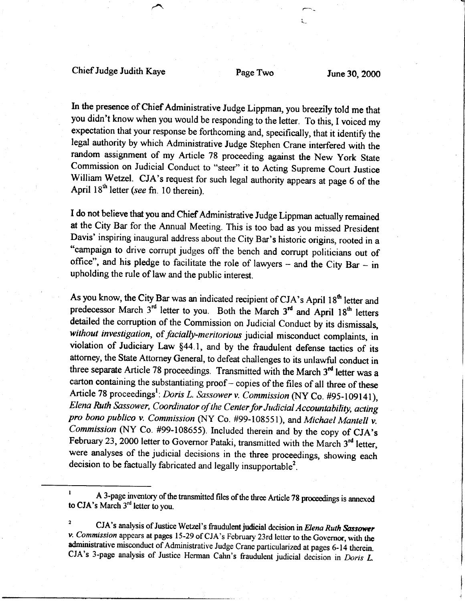### Chief Judge Judith Kaye Page Two June 30, 2000

In the presence of Chief Administrative Judge Lippman, you breezity told me that you didn't know when you would be responding to the letter. To this, I voiced my expectation that your response be forthcoming and, specifically, that it identify the legal authority by which Administrative Judge Stephen Crane interfered with the random assignment of my Article 78 proceeding against the New york State Commission on Judicial Conduct to "steer" it to Acting Supreme Court Justice William Wetzel. CJA's request for such legal authority appears at page 6 of the April  $18<sup>th</sup>$  letter (see fn. 10 therein).

I do not believe that you and Chief Administrative Judge Lippman actually remained at the City Bar for the Annual Meeting. This is too bad as you missed president Davis' inspiring inaugural address about the City Bar's historic origins, rooted in a "campaign to drive corrupt judges off the bench and corrupt politicians out of office", and his pledge to facilitate the role of lawyers - and the City Bar - in upholding the rule of law and the public interest.

As you know, the City Bar was an indicated recipient of CJA's April  $18<sup>th</sup>$  letter and predecessor March  $3^{rd}$  letter to you. Both the March  $3^{rd}$  and April 18<sup>th</sup> letters detailed the corruption of the Commission on Judicial Conduct by its dismissals, without investigation, of facially-meritorious judicial misconduct complaints, in violation of Judiciary Law \$44.1, and by the fraudulent defense tactics of its attorney, the State Attorney General, to defeat challenges to its unlawful conduct in three separate Article 78 proceedings. Transmitted with the March  $3<sup>rd</sup>$  letter was a carton containing the substantiating proof - copies of the files of all three of these Article 78 proceedings<sup>1</sup>: Doris L. Sassower v. Commission (NY Co. #95-109141), Elena Ruth Sassower, Coordinator of the Center for Judicial Accountability, acting pro bono publico v. Commission (NY Co. #99-108551), and Michael Mantell v. Commission (NY Co. #99-108655). Included therein and by the copy of CJA's February 23, 2000 letter to Governor Pataki, transmitted with the March  $3<sup>rd</sup>$  letter, were analyses of the judicial decisions in the three proceedings, showing each decision to be factually fabricated and legally insupportable<sup>2</sup>.

A 3-page inventory of the transmitted files of the three Article 78 proceedings is annexed to  $CJA's March 3<sup>rd</sup> letter to you.$ 

CJA's analysis of Justice Wetzel's fraudulent judicial decision in Elena Ruth Sassower v. Commission appears at pages 15-29 of CJA's February 23rd letter to the Governor, with the administrative misconduct of Administrative Judge Crane particularized at pages 6-14 therein. CJA's 3-page analysis of Justice Herman Cahn's fraudulent judicial decision in Doris L.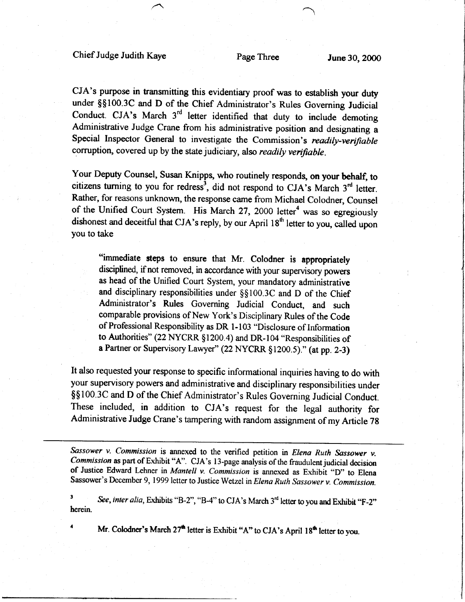CJA's purpose in transmitting this evidentiary proof was to establish your duty under \$\$100.3C and D of the Chief Administrator's Rules Governing Judicial Conduct. CJA's March  $3<sup>rd</sup>$  letter identified that duty to include demoting Administrative Judge Crane from his administrative position and designating a Special Inspector General to investigate the Commission's readily-verifiable corruption, covered up by the state judiciary, also readily verifiable.

Your Deputy Counsel, Susan Knipps, who routinely responds, on your behalf, to citizens turning to you for redress<sup>3</sup>, did not respond to CJA's March  $3<sup>rd</sup>$  letter. Rather, for reasons unknown, the response came from Michael Colodner, Counsel of the Unified Court System. His March 27, 2000 letter<sup>4</sup> was so egregiously dishonest and deceitful that CJA's reply, by our April  $18<sup>th</sup>$  letter to you, called upon you to take

"immediate steps to ensure that Mr. colodner is appropriately disciplined, if not removed, in accordance with your supervisory powers as head of the Unified Court System, your mandatory administrative and disciplinary responsibilities under  $\S$ §100.3C and D of the Chief Administrator's Rules Governing Judicial conduct, and such comparable provisions of New York's Disciplinary Rules of the Code of Professional Responsibility as DR 1-103 "Disclosure of Information to Authorities" (22 NYCRR §1200.4) and DR-104 "Responsibilities of a Partner or Supervisory Lawyer" (22 NYCRR \$1200.5)." (at pp. 2-3)

It also requested your response to specific informational inquiries having to do with your supervisory powers and administrative and disciplinary responsibilities under \$\$100.3C and D of the Chief Administrator's Rules Governing Judicial Conduct. These included, in addition to CJA's request for the legal authority for Administative Judge Crane's tampering with random assignment of my Article 78

Sassower v. Commission is annexed to the verified petition in Elena Ruth Sassower v. Commission as part of Exhibit "A". CJA's 13-page analysis of the fraudulent judicial decision of Justice Edward Lehner in Mantell v. Commission is annexed as Exhibit "D" to Elena Sassower's December 9, 1999 letter to Justice Wetzel in Elena Ruth Sassower v. Commission.

See, inter alia, Exhibits "B-2", "B-4" to CJA's March  $3<sup>rd</sup>$  letter to you and Exhibit "F-2" herein.

Mr. Colodner's March  $27<sup>th</sup>$  letter is Exhibit "A" to CJA's April  $18<sup>th</sup>$  letter to you.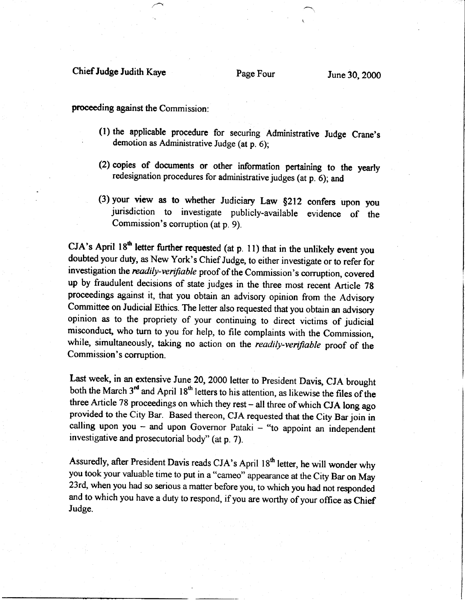#### Chief Judge Judith Kaye

proceeding against the Commission:

- (l) the applicable procedure for securing Administrative Judge Crane's demotion as Administrative Judge (at p. 6);
- (2) copies of documents or other information pertaining to the yearly redesignation procedures for administrative judges (at p. 6); and
- (3) your view as to whether Judiciary Law \$212 confers upon you jurisdiction to investigate publicly-available evidence of the Commission's corruption (at p. 9).

 $CJA's$  April 18<sup>th</sup> letter further requested (at p. 11) that in the unlikely event you doubted your duty, as New York's Chief Judge, to either investigate or to refer for investigation the readily-verifiable proof of the Commission's corruption, covered up by fraudulent decisions of state judges in the three most recent Article 7g proceedings against it, that you obtain an advisory opinion from the Advisory Committee on Judicial Ethics. The letter also requested that you obtain an advisory opinion as to the propriety of your continuing to direct victims of judicial misconduct, who turn to you for help, to file complaints with the Commission, while, simultaneously, taking no action on the readily-verifiable proof of the Commission's corruption.

Last week, in an extensive June 20, 2000 letter to President Davis, CJA brought both the March  $3<sup>rd</sup>$  and April 18<sup>th</sup> letters to his attention, as likewise the files of the three Article 78 proceedings on which they rest - all three of which CJA long ago provided to the City Bar. Based thereon, CJA requested that the City Bar join in calling upon you - and upon Governor Pataki - "to appoint an independent investigative and prosecutorial body" (at p. T).

Assuredly, after President Davis reads CJA's April 18<sup>th</sup> letter, he will wonder why you took your valuable time to put in a "cameo" appearance at the City Bar on May 23rd, when you had so serious a matter before you, to which you had not responded and to which you have a duty to respond, if you are worthy of your office as Chief Judge.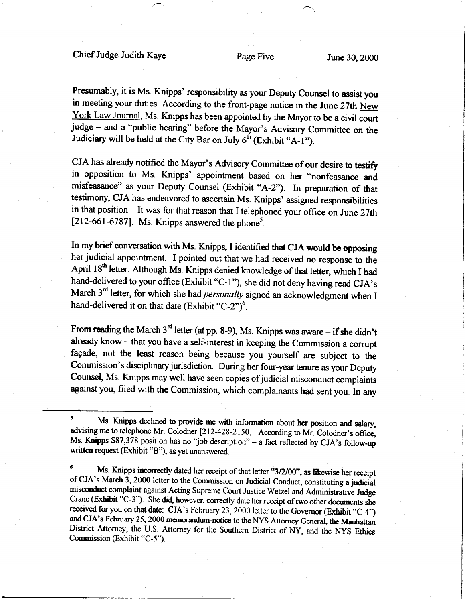Presumably, it is Ms. Knipps' responsibility as your Deputy counsel to assist you in meeting your duties. According to the front-page notice in the June 27th New York Law Joumal, Ms. Knipps has been appointed by the Mayor to be a civil court judge - and a "public hearing" before the Mayor's Advisory Committee on the Judiciary will be held at the City Bar on July  $6^{th}$  (Exhibit "A-1").

CJA has already notified the Mayor's Advisory Committee of our desire to testify in opposition to Ms. Knipps' appointment based on her "nonfeasance and misfeasance" as your Deputy Counsel (Exhibit "A-2"). In preparation of that testimony, CJA has endeavored to ascertain Ms. Knipps' assigned responsibilities in that position. It was for that reason that I telephoned your office on June 27th [ $212-661-6787$ ]. Ms. Knipps answered the phone<sup>5</sup>.

In my brief conversation with Ms. Knipps, I identified that CJA would be opposing her judicial appointment. I pointed out that we had received no response to the April 18<sup>th</sup> letter. Although Ms. Knipps denied knowledge of that letter, which I had hand-delivered to your office (Exhibit "C-1"), she did not deny having read CJA's March 3<sup>rd</sup> letter, for which she had *personally* signed an acknowledgment when I hand-delivered it on that date (Exhibit "C-2")<sup>6</sup>.

From reading the March  $3<sup>rd</sup>$  letter (at pp. 8-9), Ms. Knipps was aware – if she didn't already know - that you have a self-interest in keeping the Commission a corrupt fagade, not the least reason being because you yourself are subject to the Commission's disciplinary jurisdiction. During her four-year tenure as your Deputy Counsel, Ms. Knipps may well have seen copies of judicial misconduct complaints against you, filed with the Commission, which complainants had sent you. In any

 $\mathbf{5}$ Ms. Knipps declined to provide me with information about her position and salary, advising me to telephone Mr. Colodner [212-428-2150]. According to Mr. Colodner's office, Ms. Knipps \$87,378 position has no "job description" - a fact reflected by CJA's follow-up written request (Exhibit "B"), as yet unanswered.

Ms. Knipps incorrectly dated her receipt of that letter "3/2/00", as likewise her receipt of CJA's March 3, 2000 letter to the Commission on Judicial Conduct, constituting a judicial misconduct complaint against Acting Supreme Court Justice Wetzel and Administrative Judge Crane (Exhibit "C-3"). She did, however, correctly date her receipt of two other documents she received for you on that date: CJA's February 23, 2000 letter to the Governor (Exhibit "C-4") and CJA's February 25, 2000 memorandum-notice to the NYS Attorney General, the Manhattan District Attorney, the U.S. Attorney for the Southern District of Ny, and the NyS Ethics Commission (Exhibit "C-5").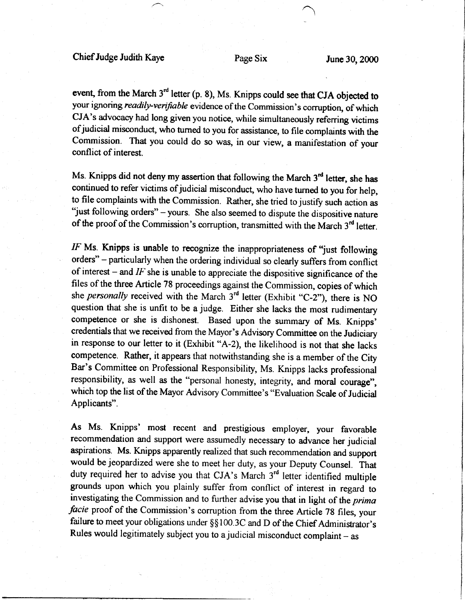event, from the March  $3<sup>rd</sup>$  letter (p. 8), Ms. Knipps could see that CJA objected to your ignoring readily-verifiable evidence of the Commission's corruption, of which CJA's advocacy had long given you notice, while simultaneously referring victims of judicial misconduct, who turned to you for assistance, to file complaints with the Commission. That you could do so was, in our view, a manifestation of your conflict of interest.

Ms. Knipps did not deny my assertion that following the March  $3<sup>rd</sup>$  letter, she has continued to refer victims of judicial misconduct, who have turned to you for help, to file complaints with the Commission. Rather, she tried to justify such action as "just following orders" - yours. She also seemed to dispute the dispositive nature of the proof of the Commission's corruption, transmitted with the March  $3<sup>rd</sup>$  letter.

 $IF$  Ms. Knipps is unable to recognize the inappropriateness of "just following orders" - particularly when the ordering individual so clearly suffers from conflict of interest – and  $IF$  she is unable to appreciate the dispositive significance of the files of the three Article 78 proceedings against the Commission, copies of which she personally received with the March  $3<sup>rd</sup>$  letter (Exhibit "C-2"), there is NO question that she is unfit to be a judge. Either she lacks the most rudimentary competence or she is dishonest. Based upon the summary of Ms. Knipps' credentials that we received from the Mayor's Advisory Committee on the Judiciary in response to our letter to it (Exhibit "A-2), the likelihood is not that she lacks competence. Rather, it appears that notwithstanding she is a member of the City Bar's Committee on Professional Responsibility, Ms. Knipps lacks professional responsibility, as well as the "personal honesty, integrity, and moral courage", which top the list of the Mayor Advisory Committee's "Evaluation Scale of Judicial Applicants".

As Ms. Knipps' most recent and prestigious employer, your favorable recommendation and support were assumedly necessary to advance her judicial aspirations. Ms. Knipps apparently realized that such recommendation and support would be jeopardized were she to meet her duty, as your Deputy Counsel. That duty required her to advise you that CJA's March 3<sup>rd</sup> letter identified multiple grounds upon which you plainly suffer from conflict of interest in regard to investigating the Commission and to further advise you that in light of the prima facie proof of the Commission's corruption from the three Article 78 files, your failure to meet your obligations under §§100.3C and D of the Chief Administrator's Rules would legitimately subject you to a judicial misconduct complaint  $-$  as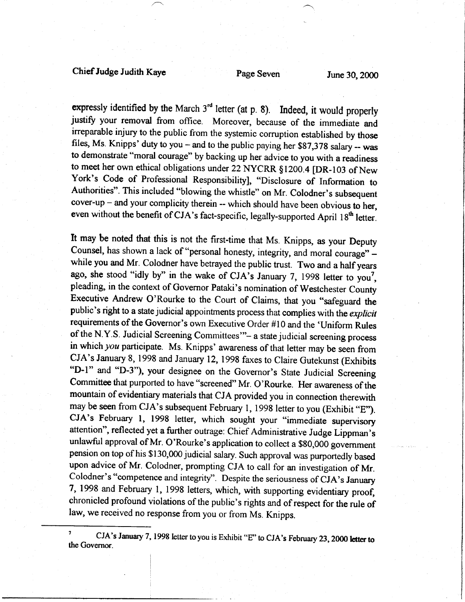### Chief Judge Judith Kaye Page Seven June 3Q 2000

expressly identified by the March  $3<sup>rd</sup>$  letter (at p. 8). Indeed, it would properly justify your removal from office. Moreover, because of the immediate and irreparable injury to the public from the systemic corruption established by those files, Ms. Knipps' duty to you – and to the public paying her  $$87,378$  salary -- was to demonstrate "moral courage" by backing up her advice to you with a readiness to meet her own ethical obligations under 22 NYCRR §1200.4 [DR-103 of New York's Code of Professional Responsibility], "Disclosure of Information to Authorities". This included "blowing the whistle" on Mr. Colodner's subsequent  $cover-up - and your complicity therein -- which should have been obvious to her,$ even without the benefit of CJA's fact-specific, legally-supported April 18<sup>th</sup> letter.

It may be noted that this is not the first-time that Ms. Knipps, as your Depury Counsel, has shown a lack of "personal honesty, integrity, and moral courage" while you and Mr. Colodner have betrayed the public trust. Two and a half years ago, she stood "idly by" in the wake of CJA's January 7, 1998 letter to you<sup>7</sup>, pleading, in the context of Governor Pataki's nomination of Westchester County Executive Andrew O'Rourke to the Court of Claims, that you "safeguard the public's right to a state judicial appointments process that complies with the explicit requirements of the Governor's own Executive Order #10 and the 'Uniform Rules of the N.Y.S. Judicial Screening Committees"- a state judicial screening process in which you participate. Ms. Knipps' awareness of that letter may be seen from CJA's January 8, 1998 and January 12, 1998 faxes to Claire Gutekunst (Exhibits "D-1" and "D-3"), your designee on the Governor's State Judicial Screening Committee that purported to have "screened" Mr. O'Rourke. Her awareness of the mountain of evidentiary materials that CJA provided you in connection therewith may be seen from CJA's subsequent February 1, 1998 letter to you (Exhibit "E"). cJA's February l, 1998 letter, which sought your "immediate supervisory attention", reflected yet a further outrage: Chief Administrative Judge Lippman's unlawful approval of Mr. O'Rourke's application to collect a \$80,000 govemment pension on top of his \$130,000 judicial salary. Such approval was purportedly based upon advice of Mr. Colodner, prompting CJA to call for an investigation of Mr. Colodner's "competence and integrity". Despite the seriousness of CJA's January 7,1998 and February l, 1998 letters, which, with supporting evidentiary proo{, chronicled profound violations of the public's rights and of respect for the rule of law, we received no response from you or from Ms. Knipps.

 $\overline{\mathbf{z}}$ <sup>7</sup> CJA's January 7, 1998 letter to you is Exhibit "E" to CJA's February 23, 2000 letter to the Governor.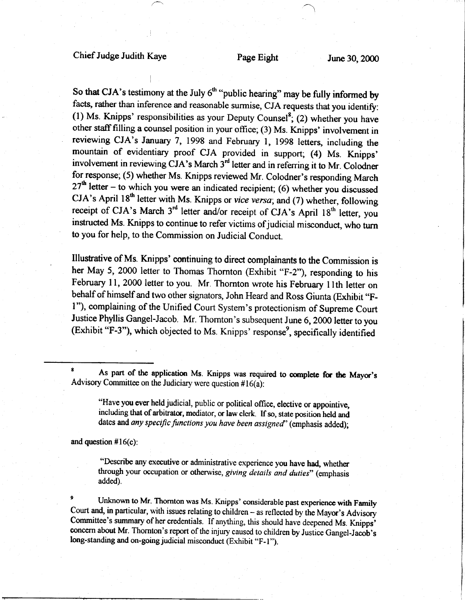So that CJA's testimony at the July  $6<sup>th</sup>$ "public hearing" may be fully informed by facts, rather than inference and reasonable surmise, CJA requests that you identify: (1) Ms. Knipps' responsibilities as your Deputy Counsel<sup>8</sup>; (2) whether you have other stafffilling a counsel position in your office; (3) Ms. Knipps' involvement in reviewing CJA's January 7,1998 and February l, l99g letters, including the mountain of evidentiary proof CJA provided in support; (4) Ms. Knipps' involvement in reviewing CJA's March  $3<sup>rd</sup>$  letter and in referring it to Mr. Colodner for response; (5) whether Ms. Knipps reviewed Mr. Colodner's responding March  $27<sup>th</sup>$  letter – to which you were an indicated recipient; (6) whether you discussed CJA's April 18<sup>th</sup> letter with Ms. Knipps or vice versa; and (7) whether, following receipt of CJA's March  $3<sup>rd</sup>$  letter and/or receipt of CJA's April 18<sup>th</sup> letter, you instructed Ms. Knipps to continue to refer victims of judicial misconduct, who turn to you for help, to the Commission on Judicial Conduct.

Illusfative of Ms. Knipps' continuing to direct complainants to the Commission is her May 5, 2000 letter to Thomas Thomton (Exhibit "F-2"), responding to his February 11, 2000 letter to you. Mr. Thornton wrote his February 11th letter on behalf of himself and two other signators, John Heard and Ross Giunta (Exhibit "Fl"), complaining of the Unified Court System's protectionism of Supreme Court Justice Phyllis Gangel-Jacob. Mr. Thomton's subsequent June 6, 2000 letter to you (Exhibit "F-3"), which objected to Ms. Knipps' response', specifically identified

As part of the application Ms. Knipps was required to complete for the Mayor's Advisory Committee on the Judiciary were question  $#16(a)$ :

"Have you ever held judicial, public or political oflice, elective or appointive, including that of arbitrator, mediator, or law clerk. If so, state position held and dates and any specific functions you have been assigned' (emphasis added);

and question  $#16(c)$ :

"Describe any executive or administrative experience you have had, whether through your occupation or otherwise, giving details and duties" (emphasis added).

Unknown to Mr. Thornton was Ms. Knipps' considerable past experience with Family Court and, in particular, with issues relating to children - as reflected by the Mayor's Advisory Committee's summary of her credentials. If anything, this should have deepened Ms. Knipps' ooncern about Mr. Thornton's report of the injury caused to children by Justice Gangel-Jacob's long-standing and on-going judicial misconduct (Exhibit "F-1").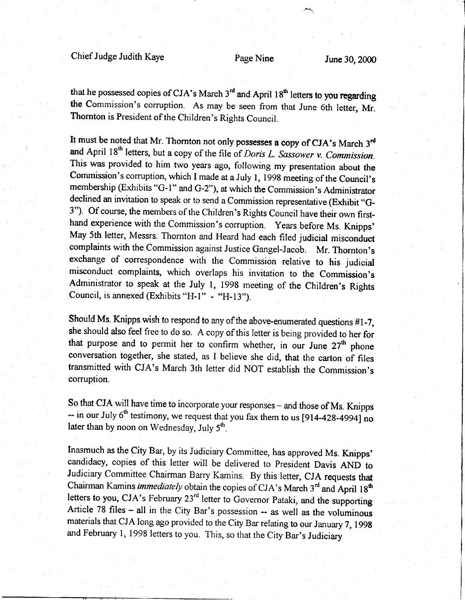Chief Judge Judith Kaye Page Nine June 30, 2000

that he possessed copies of CJA's March  $3<sup>rd</sup>$  and April 18<sup>th</sup> letters to you regarding the Commission's corruption. As may be seen from that June 6th letter, Mr. Thornton is President of the Children's Rights Council.

It must be noted that Mr. Thornton not only possesses a copy of CJA's March 3<sup>rd</sup> and April  $18<sup>th</sup>$  letters, but a copy of the file of *Doris L. Sassower v. Commission*. This was provided to him two years ago, following my presentation about the Commission's corruption, which I made at a July 1, 1998 meeting of the Council's membership (Exhibits "G-1" and G-2"), at which the Commission's Administrator declined an invitation to speak or to send a Commission representative (Exhibit "G-3"). Of course, the members of the Children's Rights Council have their own firsthand experience with the Commission's corruption. Years before Ms. Knipps' May 5th letter, Messrs. Thornton and Heard had each filed judicial misconduct complaints with the Commission against Justice Gangel-Jacob. Mr. Thornton's exchange of correspondence with the Commission relative to his judicial misconduct complaints, which overlaps his invitation to the Commission's Administrator to speak at the July l, l99g meeting of the children's Rights Council, is annexed (Exhibits "H-1"  $-$  "H-13").

Should Ms. Knipps wish to respond to any of the above-enumerated questions #l -7, she should also feel free to do so. A copy of this letter is being provided to her for that purpose and to permit her to confirm whether, in our June  $27<sup>th</sup>$  phone conversation together, she stated, as I believe she did, that the carton of files transmitted with CJA's March 3th letter did NOT establish the Commission's corruption.

So that CJA will have time to incorporate your responses – and those of Ms. Knipps  $-$  in our July 6<sup>th</sup> testimony, we request that you fax them to us [914-428-4994] no later than by noon on Wednesday, July  $5<sup>th</sup>$ .

Inasmuch as the City Bar, by its Judiciary Committee, has approved Ms. Knipps' candidacy, copies of this letter will be delivered to President Davis AND to Judiciary Committee Chairman Barry Kamins. By this letter, CJA requests that Chairman Kamins *immediately* obtain the copies of CJA's March  $3<sup>rd</sup>$  and April  $18<sup>th</sup>$ letters to you, CJA's February 23<sup>rd</sup> letter to Governor Pataki, and the supporting Article 78 files - all in the City Bar's possession -- as well as the voluminous materials that CJA long ago provided to the City Bar relating to our January 7, 1998 and February l, 1998 letters to you. This, so that the city Bar's Judiciary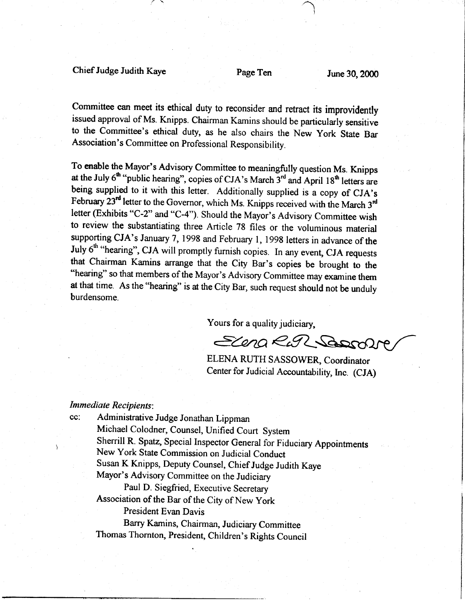### Chief Judge Judith Kaye Page Ten June 3Q 2000

l

Committee can meet its ethical duty to reconsider and retract its improvidently issued approval of Ms. Knipps. Chairman Kamins should be particularly sensitive to the committee's ethical duty, as he also chairs the New york state Bar Association's Committee on professional Responsibility.

To enable the Mayor's Advisory Committee to meaningfully question Ms. Knipps at the July  $6<sup>th</sup>$  "public hearing", copies of CJA's March  $3<sup>rd</sup>$  and April 18<sup>th</sup> letters are being supplied to it with this letter. Additionally supplied is a copy of CJA's February  $23^{rd}$  letter to the Governor, which Ms. Knipps received with the March  $3^{rd}$ letter (Exhibits "C-2" and "C-4"). Should the Mayor's Advisory Committee wish to review the substantiating three Article 78 files or the voluminous material supporting CJA's January 7, 1998 and February l, 1998 letters in advance of the July  $6<sup>th</sup>$  "hearing", CJA will promptly furnish copies. In any event, CJA requests that Chairman Kamins arrange that the City Bar's copies be brought to the "hearing" so that members of the Mayor's Advisory Committee may examine them at that time. As the "hearing" is at the City Bar, such request should not be unduly burdensome.

Yours for a quality judiciary,

Elena Run Sesson

ELENA RUTH SASSOWER, Coordinator Center for Judicial Accountability, Inc. (CJA)

#### Immediate Recipients:

cc: Administrative Judge Jonathan Lippman Michael Colodner, Counsel, Unified Court System Sherrill R. Spatz, Special Inspector General for Fiduciary Appointments New York State Commission on Judicial Conduct Susan K Knipps, Deputy Counsel, Chief Judge Judith Kaye Mayor's Advisory Committee on the Judiciary Paul D. Siegfried, Executive Secretary Association of the Bar of the City of New York President Evan Davis Barry Karnins, Chairman, Judiciary Committee Thomas Thornton, President, Children's Rights Council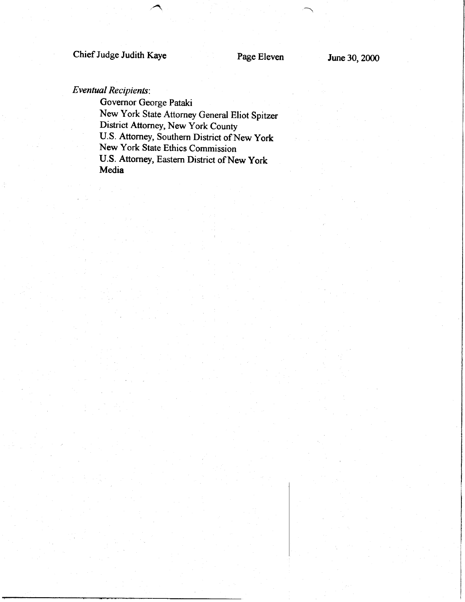## Chief Judge Judith Kaye Page Eleven June 30, 2000

#### Eventual Recipients:

Governor George Pataki New York State Attorney General Eliot Spitzer District Attorney, New York County U.S. Attomey, Southern District of New york New York State Ethics Commission U.S. Attorney, Eastern District of New york Media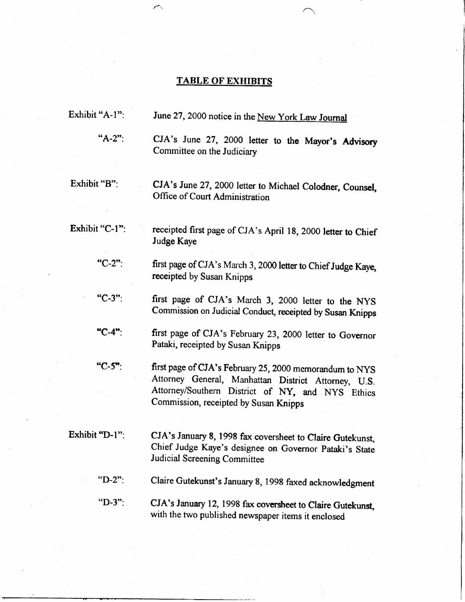## TABLE OF EXHIBITS

| Exhibit "A-1": | June 27, 2000 notice in the New York Law Journal                                                                 |
|----------------|------------------------------------------------------------------------------------------------------------------|
| " $A-2$ ":     | CJA's June 27, 2000 letter to the Mayor's Advisory<br>Committee on the Judiciary                                 |
| Exhibit "B":   | CJA's June 27, 2000 letter to Michael Colodner, Counsel,<br>Office of Court Administration                       |
|                |                                                                                                                  |
| Exhibit "C-1": | receipted first page of CJA's April 18, 2000 letter to Chief<br>Judge Kaye                                       |
| "C-2":         | first page of CJA's March 3, 2000 letter to Chief Judge Kaye,<br>receipted by Susan Knipps                       |
| "C-3":         | first page of CJA's March 3, 2000 letter to the NYS<br>Commission on Judicial Conduct, receipted by Susan Knipps |
| "C-4":         | first page of CJA's February 23, 2000 letter to Governor<br>Pataki, receipted by Susan Knipps                    |
| "C-5":         | first page of CJA's February 25, 2000 memorandum to NYS<br>Attorney General, Manhattan District Attorney, U.S.   |
|                | Attorney/Southern District of NY, and NYS Ethics<br>Commission, receipted by Susan Knipps                        |
| Exhibit "D-1": | CJA's January 8, 1998 fax coversheet to Claire Gutekunst,                                                        |
|                | Chief Judge Kaye's designee on Governor Pataki's State<br><b>Judicial Screening Committee</b>                    |
| " $D-2$ ":     | Claire Gutekunst's January 8, 1998 faxed acknowledgment                                                          |
| "D-3":         | CJA's January 12, 1998 fax coversheet to Claire Gutekunst,<br>with the two published newspaper items it enclosed |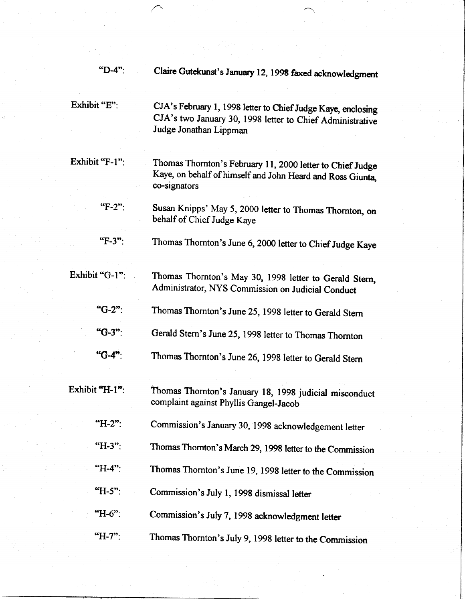| $"D-4"$ :      | Claire Gutekunst's January 12, 1998 faxed acknowledgment                                                                                            |
|----------------|-----------------------------------------------------------------------------------------------------------------------------------------------------|
| Exhibit "E":   | CJA's February 1, 1998 letter to Chief Judge Kaye, enclosing<br>CJA's two January 30, 1998 letter to Chief Administrative<br>Judge Jonathan Lippman |
| Exhibit "F-1": | Thomas Thornton's February 11, 2000 letter to Chief Judge<br>Kaye, on behalf of himself and John Heard and Ross Giunta,<br>co-signators             |
| "F-2":         | Susan Knipps' May 5, 2000 letter to Thomas Thornton, on<br>behalf of Chief Judge Kaye                                                               |
| "F-3"          | Thomas Thornton's June 6, 2000 letter to Chief Judge Kaye                                                                                           |
| Exhibit "G-1": | Thomas Thornton's May 30, 1998 letter to Gerald Stern,<br>Administrator, NYS Commission on Judicial Conduct                                         |
| "G-2":         | Thomas Thornton's June 25, 1998 letter to Gerald Stern                                                                                              |
| <b>"G-3"</b> : | Gerald Stern's June 25, 1998 letter to Thomas Thornton                                                                                              |
| "G-4":         | Thomas Thornton's June 26, 1998 letter to Gerald Stern                                                                                              |
| Exhibit "H-1": | Thomas Thornton's January 18, 1998 judicial misconduct<br>complaint against Phyllis Gangel-Jacob                                                    |
| $H-2$ ":       | Commission's January 30, 1998 acknowledgement letter                                                                                                |
| "H-3":         | Thomas Thornton's March 29, 1998 letter to the Commission                                                                                           |
| "H-4":         | Thomas Thornton's June 19, 1998 letter to the Commission                                                                                            |
| "H-5":         | Commission's July 1, 1998 dismissal letter                                                                                                          |
| <b>"H-6":</b>  | Commission's July 7, 1998 acknowledgment letter                                                                                                     |
| "H-7":         | Thomas Thornton's July 9, 1998 letter to the Commission                                                                                             |

 $\hat{\gamma}^{\mu}_{\mu}$ 

 $\hat{\rho} = \hat{\rho}$ 

 $\hat{\beta}$ 

 $\mathcal{O}^{\mathcal{O}}$